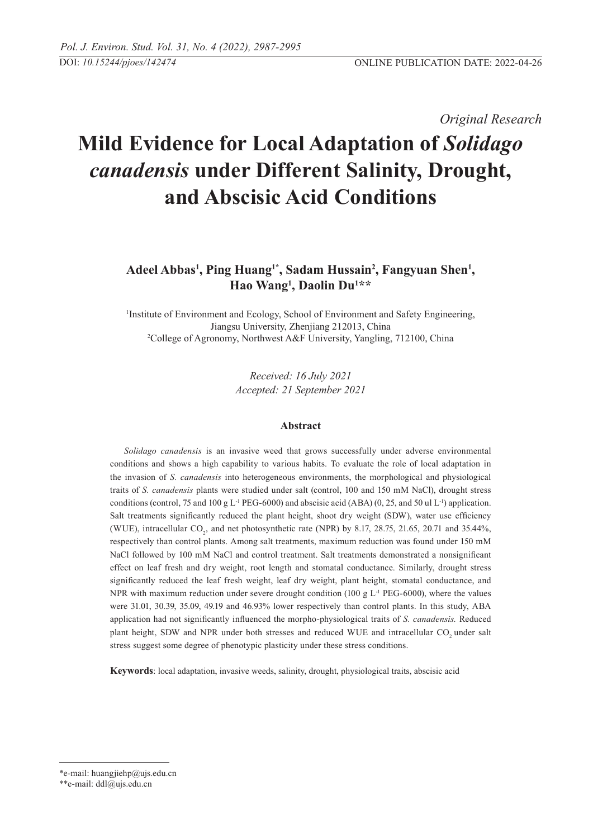*Original Research* 

# **Mild Evidence for Local Adaptation of** *Solidago canadensis* **under Different Salinity, Drought, and Abscisic Acid Conditions**

# Adeel Abbas<sup>1</sup>, Ping Huang<sup>1\*</sup>, Sadam Hussain<sup>2</sup>, Fangyuan Shen<sup>1</sup>, **Hao Wang1 , Daolin Du1 \*\***

1 Institute of Environment and Ecology, School of Environment and Safety Engineering, Jiangsu University, Zhenjiang 212013, China 2 College of Agronomy, Northwest A&F University, Yangling, 712100, China

> *Received: 16 July 2021 Accepted: 21 September 2021*

# **Abstract**

*Solidago canadensis* is an invasive weed that grows successfully under adverse environmental conditions and shows a high capability to various habits. To evaluate the role of local adaptation in the invasion of *S. canadensis* into heterogeneous environments, the morphological and physiological traits of *S. canadensis* plants were studied under salt (control, 100 and 150 mM NaCl), drought stress conditions (control, 75 and 100 g L<sup>-1</sup> PEG-6000) and abscisic acid (ABA) (0, 25, and 50 ul L<sup>-1</sup>) application. Salt treatments significantly reduced the plant height, shoot dry weight (SDW), water use efficiency (WUE), intracellular  $CO_2$ , and net photosynthetic rate (NPR) by 8.17, 28.75, 21.65, 20.71 and 35.44%, respectively than control plants. Among salt treatments, maximum reduction was found under 150 mM NaCl followed by 100 mM NaCl and control treatment. Salt treatments demonstrated a nonsignificant effect on leaf fresh and dry weight, root length and stomatal conductance. Similarly, drought stress significantly reduced the leaf fresh weight, leaf dry weight, plant height, stomatal conductance, and NPR with maximum reduction under severe drought condition (100 g  $L^{-1}$  PEG-6000), where the values were 31.01, 30.39, 35.09, 49.19 and 46.93% lower respectively than control plants. In this study, ABA application had not significantly influenced the morpho-physiological traits of *S. canadensis.* Reduced plant height, SDW and NPR under both stresses and reduced WUE and intracellular CO<sub>2</sub> under salt stress suggest some degree of phenotypic plasticity under these stress conditions.

**Keywords**: local adaptation, invasive weeds, salinity, drought, physiological traits, abscisic acid

<sup>\*</sup>e-mail: huangjiehp@ujs.edu.cn

<sup>\*\*</sup>e-mail: ddl@ujs.edu.cn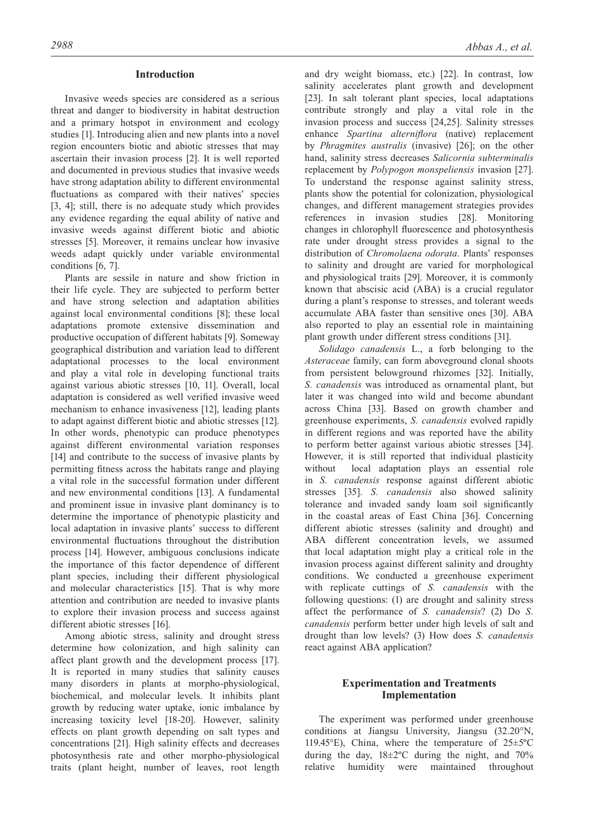### **Introduction**

Invasive weeds species are considered as a serious threat and danger to biodiversity in habitat destruction and a primary hotspot in environment and ecology studies [1]. Introducing alien and new plants into a novel region encounters biotic and abiotic stresses that may ascertain their invasion process [2]. It is well reported and documented in previous studies that invasive weeds have strong adaptation ability to different environmental fluctuations as compared with their natives' species [3, 4]; still, there is no adequate study which provides any evidence regarding the equal ability of native and invasive weeds against different biotic and abiotic stresses [5]. Moreover, it remains unclear how invasive weeds adapt quickly under variable environmental conditions [6, 7].

Plants are sessile in nature and show friction in their life cycle. They are subjected to perform better and have strong selection and adaptation abilities against local environmental conditions [8]; these local adaptations promote extensive dissemination and productive occupation of different habitats [9]. Someway geographical distribution and variation lead to different adaptational processes to the local environment and play a vital role in developing functional traits against various abiotic stresses [10, 11]. Overall, local adaptation is considered as well verified invasive weed mechanism to enhance invasiveness [12], leading plants to adapt against different biotic and abiotic stresses [12]. In other words, phenotypic can produce phenotypes against different environmental variation responses [14] and contribute to the success of invasive plants by permitting fitness across the habitats range and playing a vital role in the successful formation under different and new environmental conditions [13]. A fundamental and prominent issue in invasive plant dominancy is to determine the importance of phenotypic plasticity and local adaptation in invasive plants' success to different environmental fluctuations throughout the distribution process [14]. However, ambiguous conclusions indicate the importance of this factor dependence of different plant species, including their different physiological and molecular characteristics [15]. That is why more attention and contribution are needed to invasive plants to explore their invasion process and success against different abiotic stresses [16].

Among abiotic stress, salinity and drought stress determine how colonization, and high salinity can affect plant growth and the development process [17]. It is reported in many studies that salinity causes many disorders in plants at morpho-physiological, biochemical, and molecular levels. It inhibits plant growth by reducing water uptake, ionic imbalance by increasing toxicity level [18-20]. However, salinity effects on plant growth depending on salt types and concentrations [21]. High salinity effects and decreases photosynthesis rate and other morpho-physiological traits (plant height, number of leaves, root length

and dry weight biomass, etc.) [22]. In contrast, low salinity accelerates plant growth and development [23]. In salt tolerant plant species, local adaptations contribute strongly and play a vital role in the invasion process and success [24,25]. Salinity stresses enhance *Spartina alterniflora* (native) replacement by *Phragmites australis* (invasive) [26]; on the other hand, salinity stress decreases *Salicornia subterminalis*  replacement by *Polypogon monspeliensis* invasion [27]. To understand the response against salinity stress, plants show the potential for colonization, physiological changes, and different management strategies provides references in invasion studies [28]. Monitoring changes in chlorophyll fluorescence and photosynthesis rate under drought stress provides a signal to the distribution of *Chromolaena odorata.* Plants' responses to salinity and drought are varied for morphological and physiological traits [29]. Moreover, it is commonly known that abscisic acid (ABA) is a crucial regulator during a plant's response to stresses, and tolerant weeds accumulate ABA faster than sensitive ones [30]. ABA also reported to play an essential role in maintaining plant growth under different stress conditions [31].

*Solidago canadensis* L., a forb belonging to the *Asteraceae* family, can form aboveground clonal shoots from persistent belowground rhizomes [32]. Initially, *S. canadensis* was introduced as ornamental plant, but later it was changed into wild and become abundant across China [33]. Based on growth chamber and greenhouse experiments, *S. canadensis* evolved rapidly in different regions and was reported have the ability to perform better against various abiotic stresses [34]. However, it is still reported that individual plasticity without local adaptation plays an essential role in *S. canadensis* response against different abiotic stresses [35]. *S. canadensis* also showed salinity tolerance and invaded sandy loam soil significantly in the coastal areas of East China [36]. Concerning different abiotic stresses (salinity and drought) and ABA different concentration levels, we assumed that local adaptation might play a critical role in the invasion process against different salinity and droughty conditions. We conducted a greenhouse experiment with replicate cuttings of *S. canadensis* with the following questions: (1) are drought and salinity stress affect the performance of *S. canadensis*? (2) Do *S. canadensis* perform better under high levels of salt and drought than low levels? (3) How does *S. canadensis* react against ABA application?

# **Experimentation and Treatments Implementation**

The experiment was performed under greenhouse conditions at Jiangsu University, Jiangsu (32.20°N, 119.45°E), China, where the temperature of  $25 \pm 5$ °C during the day, 18±2ºC during the night, and 70% relative humidity were maintained throughout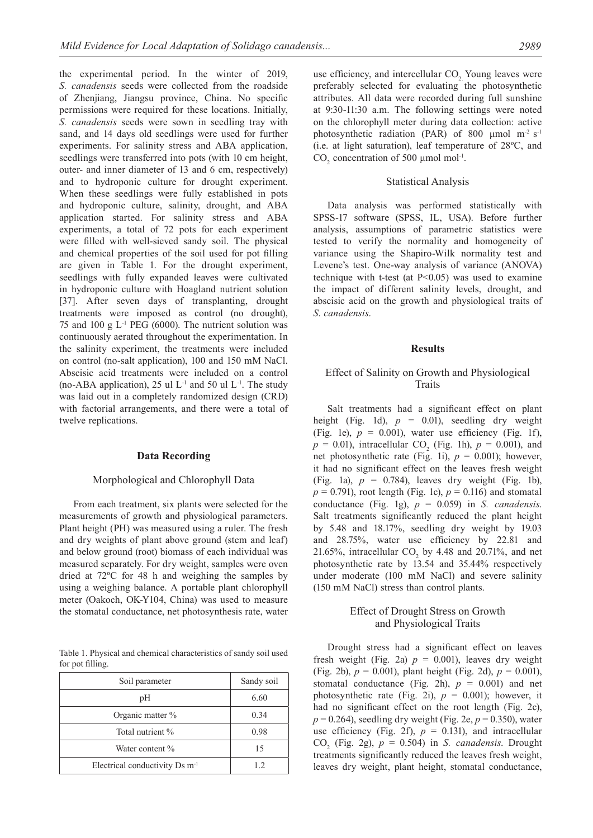the experimental period. In the winter of 2019, *S. canadensis* seeds were collected from the roadside of Zhenjiang, Jiangsu province, China. No specific permissions were required for these locations. Initially, *S. canadensis* seeds were sown in seedling tray with sand, and 14 days old seedlings were used for further experiments. For salinity stress and ABA application, seedlings were transferred into pots (with 10 cm height, outer- and inner diameter of 13 and 6 cm, respectively) and to hydroponic culture for drought experiment. When these seedlings were fully established in pots and hydroponic culture, salinity, drought, and ABA application started. For salinity stress and ABA experiments, a total of 72 pots for each experiment were filled with well-sieved sandy soil. The physical and chemical properties of the soil used for pot filling are given in Table 1. For the drought experiment, seedlings with fully expanded leaves were cultivated in hydroponic culture with Hoagland nutrient solution [37]. After seven days of transplanting, drought treatments were imposed as control (no drought), 75 and 100 g  $L^{-1}$  PEG (6000). The nutrient solution was continuously aerated throughout the experimentation. In the salinity experiment, the treatments were included on control (no-salt application), 100 and 150 mM NaCl. Abscisic acid treatments were included on a control (no-ABA application), 25 ul  $L^{-1}$  and 50 ul  $L^{-1}$ . The study was laid out in a completely randomized design (CRD) with factorial arrangements, and there were a total of twelve replications.

# **Data Recording**

#### Morphological and Chlorophyll Data

From each treatment, six plants were selected for the measurements of growth and physiological parameters. Plant height (PH) was measured using a ruler. The fresh and dry weights of plant above ground (stem and leaf) and below ground (root) biomass of each individual was measured separately. For dry weight, samples were oven dried at 72ºC for 48 h and weighing the samples by using a weighing balance. A portable plant chlorophyll meter (Oakoch, OK-Y104, China) was used to measure the stomatal conductance, net photosynthesis rate, water

Table 1. Physical and chemical characteristics of sandy soil used for pot filling.

| Soil parameter                         | Sandy soil |
|----------------------------------------|------------|
| pH                                     | 6.60       |
| Organic matter $\%$                    | 0.34       |
| Total nutrient %                       | 0.98       |
| Water content %                        | 15         |
| Electrical conductivity $Ds \, m^{-1}$ | 12         |

use efficiency, and intercellular CO<sub>2</sub>. Young leaves were preferably selected for evaluating the photosynthetic attributes. All data were recorded during full sunshine at 9:30-11:30 a.m. The following settings were noted on the chlorophyll meter during data collection: active photosynthetic radiation (PAR) of 800  $\mu$ mol m<sup>-2</sup> s<sup>-1</sup> (i.e. at light saturation), leaf temperature of 28ºC, and  $CO<sub>2</sub>$  concentration of 500 µmol mol<sup>-1</sup>.

#### Statistical Analysis

Data analysis was performed statistically with SPSS-17 software (SPSS, IL, USA). Before further analysis, assumptions of parametric statistics were tested to verify the normality and homogeneity of variance using the Shapiro-Wilk normality test and Levene's test. One-way analysis of variance (ANOVA) technique with t-test (at  $P<0.05$ ) was used to examine the impact of different salinity levels, drought, and abscisic acid on the growth and physiological traits of *S*. *canadensis*.

#### **Results**

# Effect of Salinity on Growth and Physiological Traits

Salt treatments had a significant effect on plant height (Fig. 1d),  $p = 0.01$ ), seedling dry weight (Fig. 1e),  $p = 0.001$ ), water use efficiency (Fig. 1f),  $p = 0.01$ ), intracellular CO<sub>2</sub> (Fig. 1h),  $p = 0.001$ ), and net photosynthetic rate (Fig. 1i),  $p = 0.001$ ); however, it had no significant effect on the leaves fresh weight (Fig. 1a),  $p = 0.784$ ), leaves dry weight (Fig. 1b),  $p = 0.791$ , root length (Fig. 1c),  $p = 0.116$ ) and stomatal conductance (Fig. 1g),  $p = 0.059$ ) in *S. canadensis.* Salt treatments significantly reduced the plant height by 5.48 and 18.17%, seedling dry weight by 19.03 and 28.75%, water use efficiency by 22.81 and 21.65%, intracellular  $CO_2$  by 4.48 and 20.71%, and net photosynthetic rate by 13.54 and 35.44% respectively under moderate (100 mM NaCl) and severe salinity (150 mM NaCl) stress than control plants.

# Effect of Drought Stress on Growth and Physiological Traits

Drought stress had a significant effect on leaves fresh weight (Fig. 2a)  $p = 0.001$ ), leaves dry weight (Fig. 2b), *p* = 0.001), plant height (Fig. 2d), *p* = 0.001), stomatal conductance (Fig. 2h),  $p = 0.001$ ) and net photosynthetic rate (Fig. 2i),  $p = 0.001$ ); however, it had no significant effect on the root length (Fig. 2c),  $p = 0.264$ , seedling dry weight (Fig. 2e,  $p = 0.350$ ), water use efficiency (Fig. 2f),  $p = 0.131$ ), and intracellular  $CO<sub>2</sub>$  (Fig. 2g),  $p = 0.504$ ) in *S. canadensis*. Drought treatments significantly reduced the leaves fresh weight, leaves dry weight, plant height, stomatal conductance,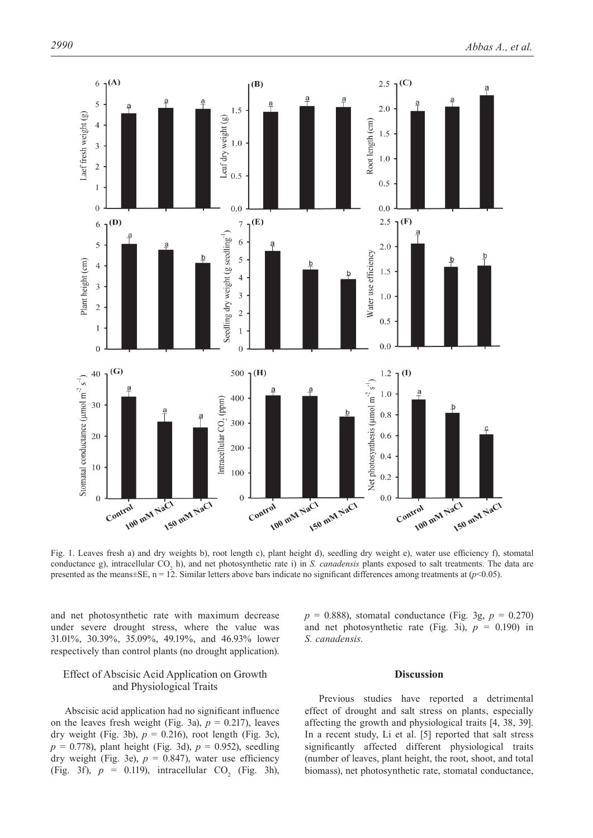

Fig. 1. Leaves fresh a) and dry weights b), root length c), plant height d), seedling dry weight e), water use efficiency f), stomatal conductance g), intracellular CO<sub>2</sub> h), and net photosynthetic rate i) in *S. canadensis* plants exposed to salt treatments. The data are presented as the means $\pm$ SE, n = 12. Similar letters above bars indicate no significant differences among treatments at ( $p$ <0.05).

and net photosynthetic rate with maximum decrease under severe drought stress, where the value was 31.01%, 30.39%, 35.09%, 49.19%, and 46.93% lower respectively than control plants (no drought application).

# Effect of Abscisic Acid Application on Growth and Physiological Traits

Abscisic acid application had no significant influence on the leaves fresh weight (Fig. 3a),  $p = 0.217$ ), leaves dry weight (Fig. 3b),  $p = 0.216$ ), root length (Fig. 3c), *p* = 0.778), plant height (Fig. 3d), *p* = 0.952), seedling dry weight (Fig. 3e),  $p = 0.847$ ), water use efficiency (Fig. 3f),  $p = 0.119$ ), intracellular CO<sub>2</sub> (Fig. 3h),  $p = 0.888$ , stomatal conductance (Fig. 3g,  $p = 0.270$ ) and net photosynthetic rate (Fig. 3i),  $p = 0.190$ ) in *S. canadensis*.

# **Discussion**

Previous studies have reported a detrimental effect of drought and salt stress on plants, especially affecting the growth and physiological traits [4, 38, 39]. In a recent study, Li et al. [5] reported that salt stress significantly affected different physiological traits (number of leaves, plant height, the root, shoot, and total biomass), net photosynthetic rate, stomatal conductance,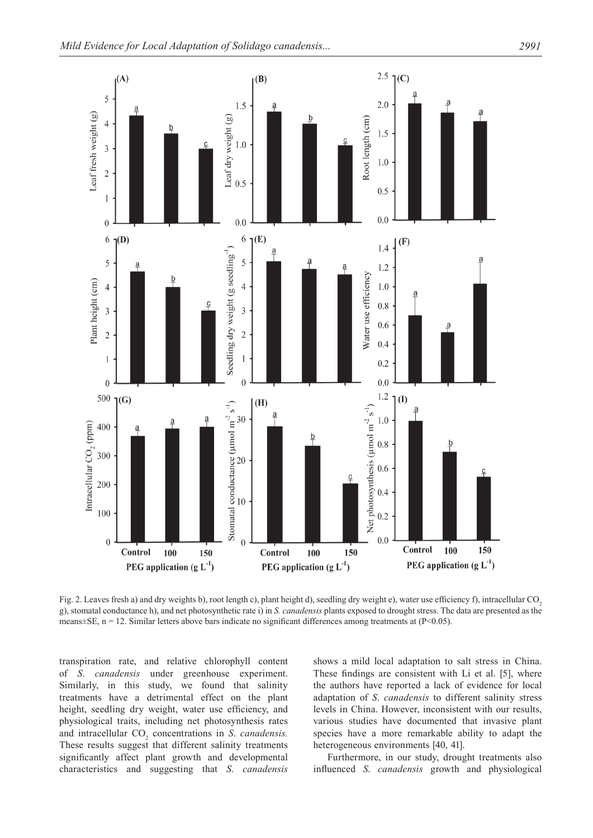

Fig. 2. Leaves fresh a) and dry weights b), root length c), plant height d), seedling dry weight e), water use efficiency f), intracellular CO<sub>2</sub> g), stomatal conductance h), and net photosynthetic rate i) in *S. canadensis* plants exposed to drought stress. The data are presented as the means $\pm$ SE, n = 12. Similar letters above bars indicate no significant differences among treatments at (P<0.05).

transpiration rate, and relative chlorophyll content of *S*. *canadensis* under greenhouse experiment. Similarly, in this study, we found that salinity treatments have a detrimental effect on the plant height, seedling dry weight, water use efficiency, and physiological traits, including net photosynthesis rates and intracellular CO<sub>2</sub> concentrations in *S. canadensis.* These results suggest that different salinity treatments significantly affect plant growth and developmental characteristics and suggesting that *S*. *canadensis* shows a mild local adaptation to salt stress in China. These findings are consistent with Li et al. [5], where the authors have reported a lack of evidence for local adaptation of *S*. *canadensis* to different salinity stress levels in China. However, inconsistent with our results, various studies have documented that invasive plant species have a more remarkable ability to adapt the heterogeneous environments [40, 41].

Furthermore, in our study, drought treatments also influenced *S*. *canadensis* growth and physiological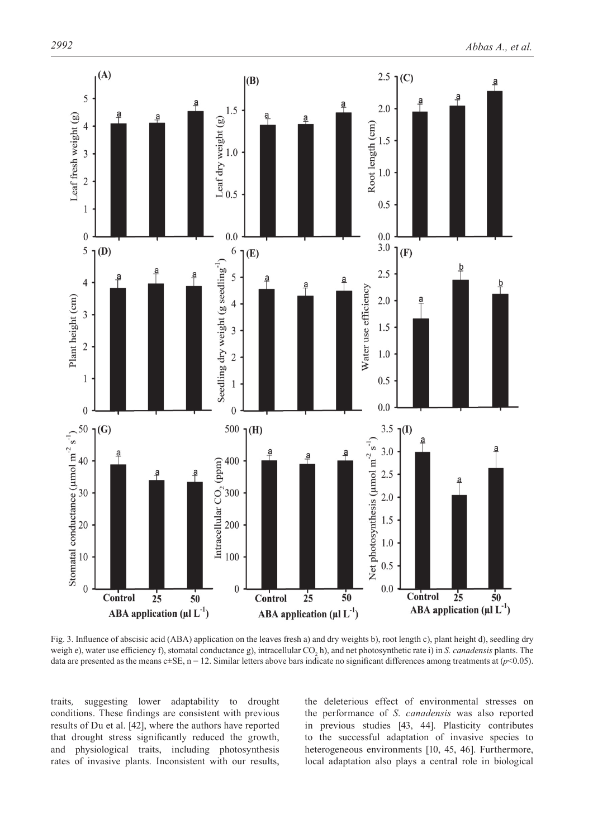

Fig. 3. Influence of abscisic acid (ABA) application on the leaves fresh a) and dry weights b), root length c), plant height d), seedling dry weigh e), water use efficiency f), stomatal conductance g), intracellular CO<sub>2</sub> h), and net photosynthetic rate i) in *S. canadensis* plants. The data are presented as the means  $c\pm SE$ , n = 12. Similar letters above bars indicate no significant differences among treatments at ( $p$ <0.05).

traits*,* suggesting lower adaptability to drought conditions. These findings are consistent with previous results of Du et al. [42], where the authors have reported that drought stress significantly reduced the growth, and physiological traits, including photosynthesis rates of invasive plants. Inconsistent with our results, the deleterious effect of environmental stresses on the performance of *S*. *canadensis* was also reported in previous studies [43, 44]. Plasticity contributes to the successful adaptation of invasive species to heterogeneous environments [10, 45, 46]. Furthermore, local adaptation also plays a central role in biological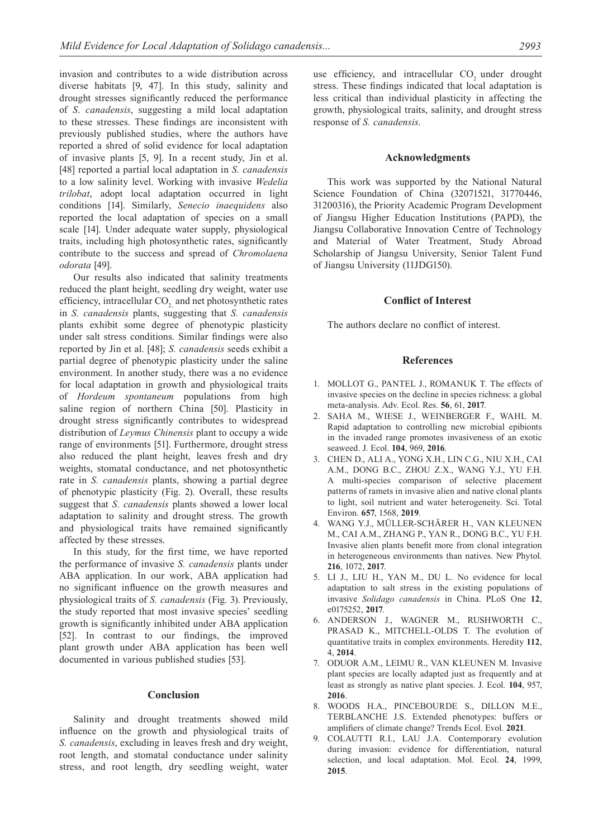invasion and contributes to a wide distribution across diverse habitats [9, 47]. In this study, salinity and drought stresses significantly reduced the performance of *S*. *canadensis*, suggesting a mild local adaptation to these stresses. These findings are inconsistent with previously published studies, where the authors have reported a shred of solid evidence for local adaptation of invasive plants [5, 9]. In a recent study, Jin et al. [48] reported a partial local adaptation in *S. canadensis* to a low salinity level. Working with invasive *Wedelia trilobat*, adopt local adaptation occurred in light conditions [14]. Similarly, *Senecio inaequidens* also reported the local adaptation of species on a small scale [14]. Under adequate water supply, physiological traits, including high photosynthetic rates, significantly contribute to the success and spread of *Chromolaena odorata* [49].

Our results also indicated that salinity treatments reduced the plant height, seedling dry weight, water use efficiency, intracellular CO<sub>2</sub> and net photosynthetic rates in *S. canadensis* plants, suggesting that *S. canadensis* plants exhibit some degree of phenotypic plasticity under salt stress conditions. Similar findings were also reported by Jin et al. [48]; *S. canadensis* seeds exhibit a partial degree of phenotypic plasticity under the saline environment. In another study, there was a no evidence for local adaptation in growth and physiological traits of *Hordeum spontaneum* populations from high saline region of northern China [50]. Plasticity in drought stress significantly contributes to widespread distribution of *Leymus Chinensis* plant to occupy a wide range of environments [51]. Furthermore, drought stress also reduced the plant height, leaves fresh and dry weights, stomatal conductance, and net photosynthetic rate in *S. canadensis* plants, showing a partial degree of phenotypic plasticity (Fig. 2). Overall, these results suggest that *S. canadensis* plants showed a lower local adaptation to salinity and drought stress. The growth and physiological traits have remained significantly affected by these stresses.

In this study, for the first time, we have reported the performance of invasive *S. canadensis* plants under ABA application. In our work, ABA application had no significant influence on the growth measures and physiological traits of *S. canadensis* (Fig. 3). Previously, the study reported that most invasive species' seedling growth is significantly inhibited under ABA application [52]. In contrast to our findings, the improved plant growth under ABA application has been well documented in various published studies [53].

#### **Conclusion**

Salinity and drought treatments showed mild influence on the growth and physiological traits of *S. canadensis*, excluding in leaves fresh and dry weight, root length, and stomatal conductance under salinity stress, and root length, dry seedling weight, water use efficiency, and intracellular CO<sub>2</sub> under drought stress. These findings indicated that local adaptation is less critical than individual plasticity in affecting the growth, physiological traits, salinity, and drought stress response of *S. canadensis*.

#### **Acknowledgments**

This work was supported by the National Natural Science Foundation of China (32071521, 31770446, 31200316), the Priority Academic Program Development of Jiangsu Higher Education Institutions (PAPD), the Jiangsu Collaborative Innovation Centre of Technology and Material of Water Treatment, Study Abroad Scholarship of Jiangsu University, Senior Talent Fund of Jiangsu University (11JDG150).

#### **Conflict of Interest**

The authors declare no conflict of interest.

#### **References**

- 1. MOLLOT G., PANTEL J., ROMANUK T. The effects of invasive species on the decline in species richness: a global meta-analysis. Adv. Ecol. Res. **56**, 61, **2017**.
- 2. SAHA M., WIESE J., WEINBERGER F., WAHL M. Rapid adaptation to controlling new microbial epibionts in the invaded range promotes invasiveness of an exotic seaweed. J. Ecol. **104**, 969, **2016**.
- 3. CHEN D., ALI A., YONG X.H., LIN C.G., NIU X.H., CAI A.M., DONG B.C., ZHOU Z.X., WANG Y.J., YU F.H. A multi-species comparison of selective placement patterns of ramets in invasive alien and native clonal plants to light, soil nutrient and water heterogeneity. Sci. Total Environ. **657**, 1568, **2019**.
- 4. WANG Y.J., MÜLLER-SCHÄRER H., VAN KLEUNEN M., CAI A.M., ZHANG P., YAN R., DONG B.C., YU F.H. Invasive alien plants benefit more from clonal integration in heterogeneous environments than natives. New Phytol. **216**, 1072, **2017**.
- 5. LI J., LIU H., YAN M., DU L. No evidence for local adaptation to salt stress in the existing populations of invasive *Solidago canadensis* in China. PLoS One **12**, e0175252, **2017**.
- 6. ANDERSON J., WAGNER M., RUSHWORTH C., PRASAD K., MITCHELL-OLDS T. The evolution of quantitative traits in complex environments. Heredity **112**, 4, **2014**.
- 7. ODUOR A.M., LEIMU R., VAN KLEUNEN M. Invasive plant species are locally adapted just as frequently and at least as strongly as native plant species. J. Ecol*.* **104**, 957, **2016**.
- 8. WOODS H.A., PINCEBOURDE S., DILLON M.E., TERBLANCHE J.S. Extended phenotypes: buffers or amplifiers of climate change? Trends Ecol. Evol. **2021**.
- 9. COLAUTTI R.I., LAU J.A. Contemporary evolution during invasion: evidence for differentiation, natural selection, and local adaptation. Mol. Ecol. **24**, 1999, **2015**.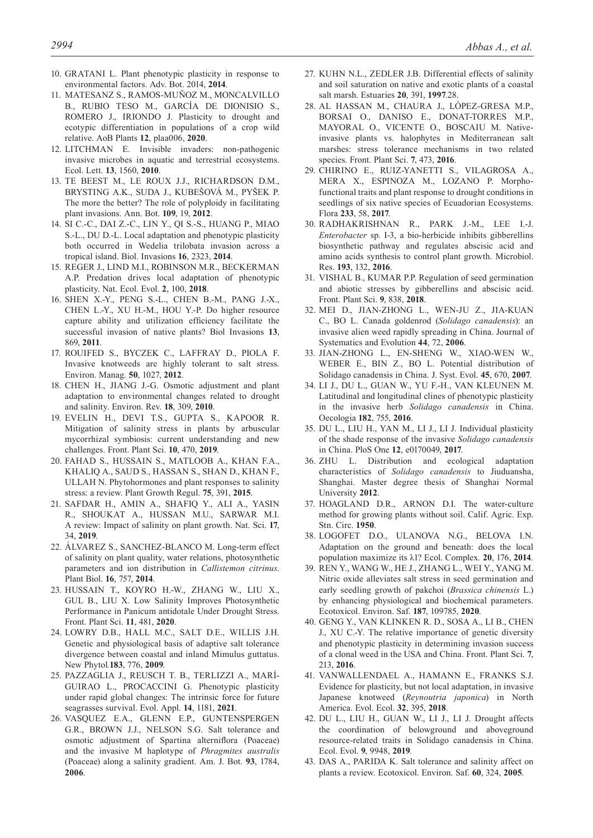- 10. GRATANI L. Plant phenotypic plasticity in response to environmental factors. Adv. Bot. 2014, **2014**.
- 11. MATESANZ S., RAMOS-MUÑOZ M., MONCALVILLO B., RUBIO TESO M., GARCÍA DE DIONISIO S., ROMERO J., IRIONDO J. Plasticity to drought and ecotypic differentiation in populations of a crop wild relative. AoB Plants **12**, plaa006, **2020**.
- 12. LITCHMAN E. Invisible invaders: non-pathogenic invasive microbes in aquatic and terrestrial ecosystems. Ecol. Lett. **13**, 1560, **2010**.
- 13. TE BEEST M., LE ROUX J.J., RICHARDSON D.M., BRYSTING A.K., SUDA J., KUBEŠOVÁ M., PYŠEK P. The more the better? The role of polyploidy in facilitating plant invasions. Ann. Bot. **109**, 19, **2012**.
- 14. SI C.-C., DAI Z.-C., LIN Y., QI S.-S., HUANG P., MIAO S.-L., DU D.-L. Local adaptation and phenotypic plasticity both occurred in Wedelia trilobata invasion across a tropical island. Biol. Invasions **16**, 2323, **2014**.
- 15. REGER J., LIND M.I., ROBINSON M.R., BECKERMAN A.P. Predation drives local adaptation of phenotypic plasticity. Nat. Ecol. Evol. **2**, 100, **2018**.
- 16. SHEN X.-Y., PENG S.-L., CHEN B.-M., PANG J.-X., CHEN L.-Y., XU H.-M., HOU Y.-P. Do higher resource capture ability and utilization efficiency facilitate the successful invasion of native plants? Biol Invasions **13**, 869, **2011**.
- 17. ROUIFED S., BYCZEK C., LAFFRAY D., PIOLA F. Invasive knotweeds are highly tolerant to salt stress. Environ. Manag. **50**, 1027, **2012**.
- 18. CHEN H., JIANG J.-G. Osmotic adjustment and plant adaptation to environmental changes related to drought and salinity. Environ. Rev. **18**, 309, **2010**.
- 19. EVELIN H., DEVI T.S., GUPTA S., KAPOOR R. Mitigation of salinity stress in plants by arbuscular mycorrhizal symbiosis: current understanding and new challenges. Front. Plant Sci. **10**, 470, **2019**.
- 20. FAHAD S., HUSSAIN S., MATLOOB A., KHAN F.A., KHALIQ A., SAUD S., HASSAN S., SHAN D., KHAN F., ULLAH N. Phytohormones and plant responses to salinity stress: a review. Plant Growth Regul. **75**, 391, **2015**.
- 21. SAFDAR H., AMIN A., SHAFIQ Y., ALI A., YASIN R., SHOUKAT A., HUSSAN M.U., SARWAR M.I. A review: Impact of salinity on plant growth. Nat. Sci. **17**, 34, **2019**.
- 22. ÁLVAREZ S., SANCHEZ-BLANCO M. Long-term effect of salinity on plant quality, water relations, photosynthetic parameters and ion distribution in *Callistemon citrinus*. Plant Biol. **16**, 757, **2014**.
- 23. HUSSAIN T., KOYRO H.-W., ZHANG W., LIU X., GUL B., LIU X. Low Salinity Improves Photosynthetic Performance in Panicum antidotale Under Drought Stress. Front. Plant Sci. **11**, 481, **2020**.
- 24. LOWRY D.B., HALL M.C., SALT D.E., WILLIS J.H. Genetic and physiological basis of adaptive salt tolerance divergence between coastal and inland Mimulus guttatus. New Phytol*.***183**, 776, **2009**.
- 25. PAZZAGLIA J., REUSCH T. B., TERLIZZI A., MARÍ-GUIRAO L., PROCACCINI G. Phenotypic plasticity under rapid global changes: The intrinsic force for future seagrasses survival. Evol. Appl. **14**, 1181, **2021**.
- 26. VASQUEZ E.A., GLENN E.P., GUNTENSPERGEN G.R., BROWN J.J., NELSON S.G. Salt tolerance and osmotic adjustment of Spartina alterniflora (Poaceae) and the invasive M haplotype of *Phragmites australis* (Poaceae) along a salinity gradient. Am. J. Bot. **93**, 1784, **2006**.
- 27. KUHN N.L., ZEDLER J.B. Differential effects of salinity and soil saturation on native and exotic plants of a coastal salt marsh. Estuaries **20**, 391, **1997**.28.
- 28. AL HASSAN M., CHAURA J., LÓPEZ-GRESA M.P., BORSAI O., DANISO E., DONAT-TORRES M.P., MAYORAL O., VICENTE O., BOSCAIU M. Nativeinvasive plants vs. halophytes in Mediterranean salt marshes: stress tolerance mechanisms in two related species. Front. Plant Sci. **7**, 473, **2016**.
- 29. CHIRINO E., RUIZ-YANETTI S., VILAGROSA A., MERA X., ESPINOZA M., LOZANO P. Morphofunctional traits and plant response to drought conditions in seedlings of six native species of Ecuadorian Ecosystems. Flora **233**, 58, **2017**.
- 30. RADHAKRISHNAN R., PARK J.-M., LEE I.-J. *Enterobacter* sp. I-3, a bio-herbicide inhibits gibberellins biosynthetic pathway and regulates abscisic acid and amino acids synthesis to control plant growth. Microbiol. Res. **193**, 132, **2016**.
- 31. VISHAL B., KUMAR P.P. Regulation of seed germination and abiotic stresses by gibberellins and abscisic acid. Front. Plant Sci. **9**, 838, **2018**.
- 32. MEI D., Jian-Zhong L., Wen-JU Z., JIA-KUAN C., BO L. Canada goldenrod (*Solidago canadensis*): an invasive alien weed rapidly spreading in China. Journal of Systematics and Evolution **44**, 72, **2006**.
- 33. JIAN-ZHONG L., EN-SHENG W., XIAO-WEN W., WEBER E., BIN Z., BO L. Potential distribution of Solidago canadensis in China. J. Syst. Evol. **45**, 670, **2007**.
- 34. LI J., DU L., GUAN W., YU F.-H., VAN KLEUNEN M. Latitudinal and longitudinal clines of phenotypic plasticity in the invasive herb *Solidago canadensis* in China. Oecologia **182**, 755, **2016**.
- 35. DU L., LIU H., YAN M., LI J., LI J. Individual plasticity of the shade response of the invasive *Solidago canadensis* in China. PloS One **12**, e0170049, **2017**.
- 36. ZHU L. Distribution and ecological adaptation characteristics of *Solidago canadensis* to Jiuduansha, Shanghai. Master degree thesis of Shanghai Normal University **2012**.
- 37. HOAGLAND D.R., ARNON D.I. The water-culture method for growing plants without soil. Calif. Agric. Exp. Stn. Circ. **1950**.
- 38. LOGOFET D.O., ULANOVA N.G., BELOVA I.N. Adaptation on the ground and beneath: does the local population maximize its λ1? Ecol. Complex*.* **20**, 176, **2014**.
- 39. REN Y., WANG W., HE J., ZHANG L., WEI Y., YANG M. Nitric oxide alleviates salt stress in seed germination and early seedling growth of pakchoi (*Brassica chinensis* L.) by enhancing physiological and biochemical parameters. Ecotoxicol. Environ. Saf. **187**, 109785, **2020**.
- 40. GENG Y., VAN KLINKEN R. D., SOSA A., LI B., CHEN J., XU C.-Y. The relative importance of genetic diversity and phenotypic plasticity in determining invasion success of a clonal weed in the USA and China. Front. Plant Sci. **7**, 213, **2016**.
- 41. VANWALLENDAEL A., HAMANN E., FRANKS S.J. Evidence for plasticity, but not local adaptation, in invasive Japanese knotweed (*Reynoutria japonica*) in North America. Evol. Ecol. **32**, 395, **2018**.
- 42. DU L., LIU H., GUAN W., LI J., LI J. Drought affects the coordination of belowground and aboveground resource-related traits in Solidago canadensis in China. Ecol. Evol. **9**, 9948, **2019**.
- 43. DAS A., PARIDA K. Salt tolerance and salinity affect on plants a review. Ecotoxicol. Environ. Saf. **60**, 324, **2005**.